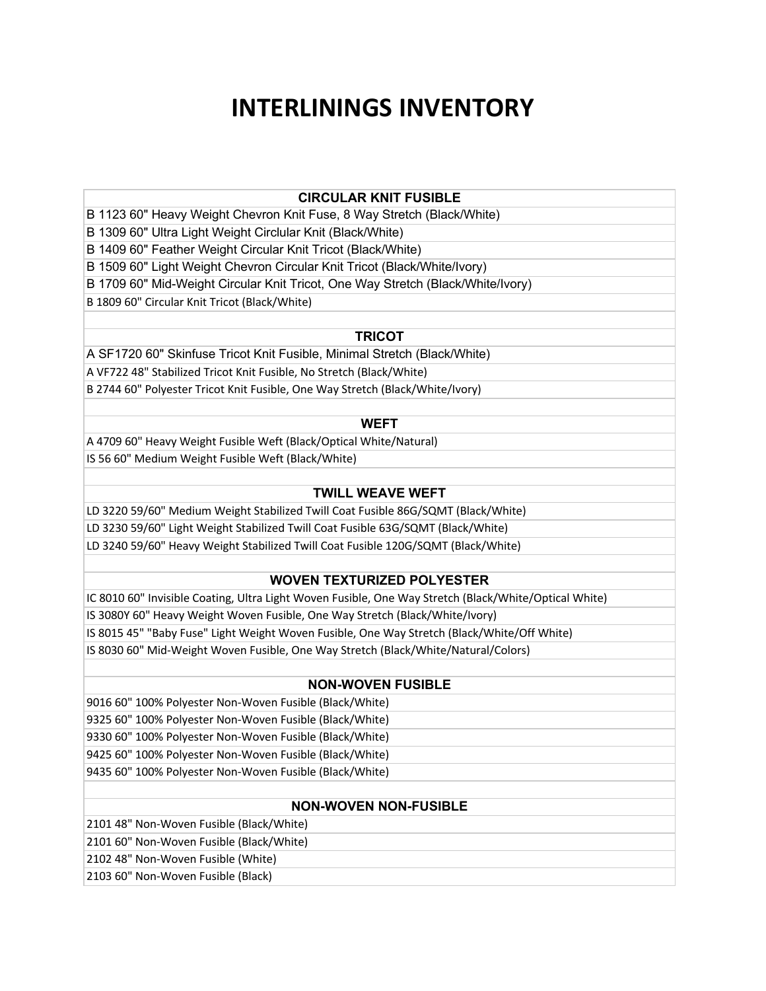# **INTERLININGS INVENTORY**

### **CIRCULAR KNIT FUSIBLE**

B 1123 60" Heavy Weight Chevron Knit Fuse, 8 Way Stretch (Black/White)

B 1309 60" Ultra Light Weight Circlular Knit (Black/White)

B 1409 60" Feather Weight Circular Knit Tricot (Black/White)

B 1509 60" Light Weight Chevron Circular Knit Tricot (Black/White/Ivory)

B 1709 60" Mid-Weight Circular Knit Tricot, One Way Stretch (Black/White/Ivory)

B 1809 60" Circular Knit Tricot (Black/White)

## **TRICOT**

A SF1720 60" Skinfuse Tricot Knit Fusible, Minimal Stretch (Black/White) A VF722 48" Stabilized Tricot Knit Fusible, No Stretch (Black/White) B 2744 60" Polyester Tricot Knit Fusible, One Way Stretch (Black/White/Ivory)

### **WEFT**

A 4709 60" Heavy Weight Fusible Weft (Black/Optical White/Natural) IS 56 60" Medium Weight Fusible Weft (Black/White)

## **TWILL WEAVE WEFT**

LD 3220 59/60" Medium Weight Stabilized Twill Coat Fusible 86G/SQMT (Black/White) LD 3230 59/60" Light Weight Stabilized Twill Coat Fusible 63G/SQMT (Black/White) LD 3240 59/60" Heavy Weight Stabilized Twill Coat Fusible 120G/SQMT (Black/White)

# **WOVEN TEXTURIZED POLYESTER**

IC 8010 60" Invisible Coating, Ultra Light Woven Fusible, One Way Stretch (Black/White/Optical White) IS 3080Y 60" Heavy Weight Woven Fusible, One Way Stretch (Black/White/Ivory) IS 8015 45" "Baby Fuse" Light Weight Woven Fusible, One Way Stretch (Black/White/Off White) IS 8030 60" Mid-Weight Woven Fusible, One Way Stretch (Black/White/Natural/Colors)

# **NON-WOVEN FUSIBLE**

9016 60" 100% Polyester Non-Woven Fusible (Black/White) 9325 60" 100% Polyester Non-Woven Fusible (Black/White)

9330 60" 100% Polyester Non-Woven Fusible (Black/White)

9425 60" 100% Polyester Non-Woven Fusible (Black/White)

9435 60" 100% Polyester Non-Woven Fusible (Black/White)

# **NON-WOVEN NON-FUSIBLE**

2101 48" Non-Woven Fusible (Black/White)

2101 60" Non-Woven Fusible (Black/White)

2102 48" Non-Woven Fusible (White)

2103 60" Non-Woven Fusible (Black)